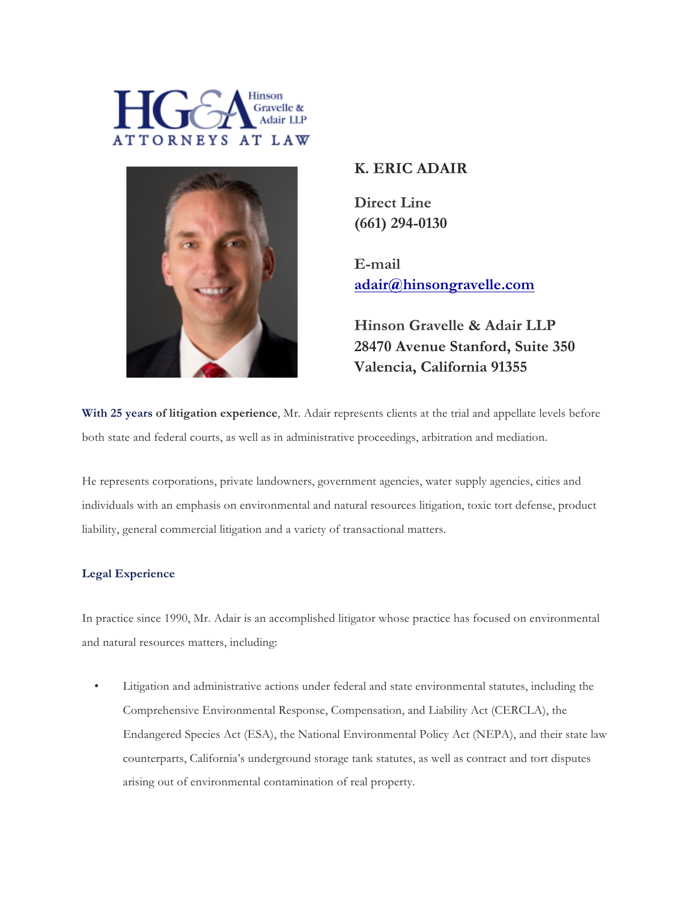



# **K. ERIC ADAIR**

**Direct Line (661) 294-0130**

**E-mail adair@hinsongravelle.com**

**Hinson Gravelle & Adair LLP 28470 Avenue Stanford, Suite 350 Valencia, California 91355**

**With 25 years of litigation experience**, Mr. Adair represents clients at the trial and appellate levels before both state and federal courts, as well as in administrative proceedings, arbitration and mediation.

He represents corporations, private landowners, government agencies, water supply agencies, cities and individuals with an emphasis on environmental and natural resources litigation, toxic tort defense, product liability, general commercial litigation and a variety of transactional matters.

# **Legal Experience**

In practice since 1990, Mr. Adair is an accomplished litigator whose practice has focused on environmental and natural resources matters, including:

• Litigation and administrative actions under federal and state environmental statutes, including the Comprehensive Environmental Response, Compensation, and Liability Act (CERCLA), the Endangered Species Act (ESA), the National Environmental Policy Act (NEPA), and their state law counterparts, California's underground storage tank statutes, as well as contract and tort disputes arising out of environmental contamination of real property.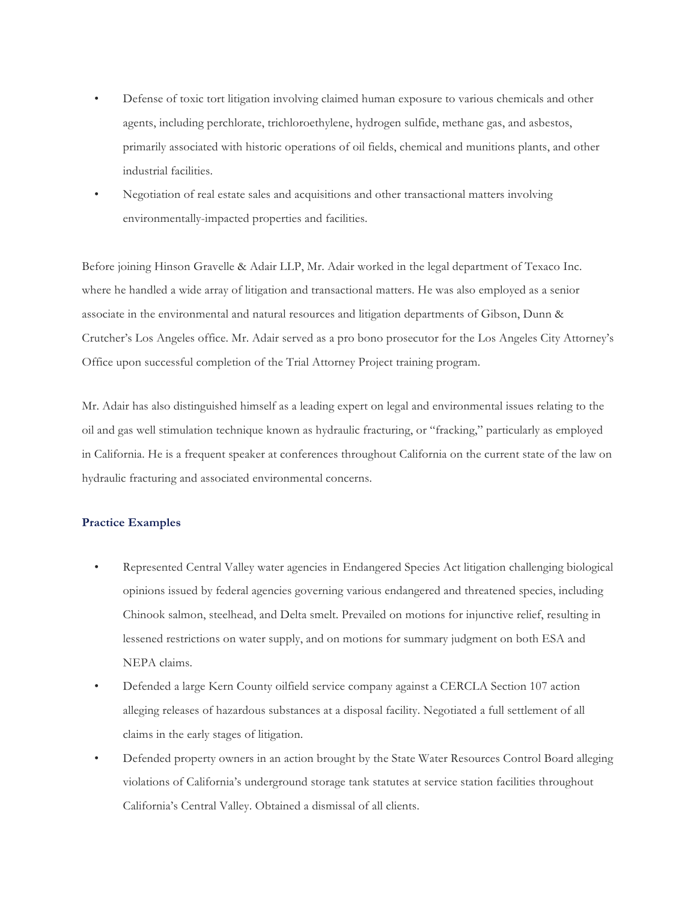- Defense of toxic tort litigation involving claimed human exposure to various chemicals and other agents, including perchlorate, trichloroethylene, hydrogen sulfide, methane gas, and asbestos, primarily associated with historic operations of oil fields, chemical and munitions plants, and other industrial facilities.
- Negotiation of real estate sales and acquisitions and other transactional matters involving environmentally-impacted properties and facilities.

Before joining Hinson Gravelle & Adair LLP, Mr. Adair worked in the legal department of Texaco Inc. where he handled a wide array of litigation and transactional matters. He was also employed as a senior associate in the environmental and natural resources and litigation departments of Gibson, Dunn & Crutcher's Los Angeles office. Mr. Adair served as a pro bono prosecutor for the Los Angeles City Attorney's Office upon successful completion of the Trial Attorney Project training program.

Mr. Adair has also distinguished himself as a leading expert on legal and environmental issues relating to the oil and gas well stimulation technique known as hydraulic fracturing, or "fracking," particularly as employed in California. He is a frequent speaker at conferences throughout California on the current state of the law on hydraulic fracturing and associated environmental concerns.

#### **Practice Examples**

- Represented Central Valley water agencies in Endangered Species Act litigation challenging biological opinions issued by federal agencies governing various endangered and threatened species, including Chinook salmon, steelhead, and Delta smelt. Prevailed on motions for injunctive relief, resulting in lessened restrictions on water supply, and on motions for summary judgment on both ESA and NEPA claims.
- Defended a large Kern County oilfield service company against a CERCLA Section 107 action alleging releases of hazardous substances at a disposal facility. Negotiated a full settlement of all claims in the early stages of litigation.
- Defended property owners in an action brought by the State Water Resources Control Board alleging violations of California's underground storage tank statutes at service station facilities throughout California's Central Valley. Obtained a dismissal of all clients.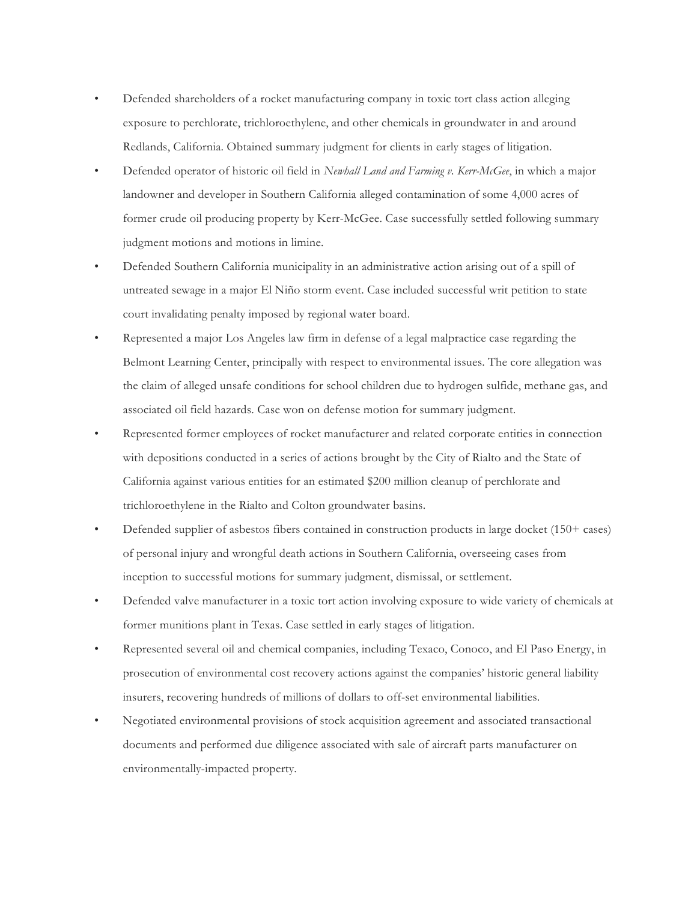- Defended shareholders of a rocket manufacturing company in toxic tort class action alleging exposure to perchlorate, trichloroethylene, and other chemicals in groundwater in and around Redlands, California. Obtained summary judgment for clients in early stages of litigation.
- Defended operator of historic oil field in *Newhall Land and Farming v. Kerr-McGee*, in which a major landowner and developer in Southern California alleged contamination of some 4,000 acres of former crude oil producing property by Kerr-McGee. Case successfully settled following summary judgment motions and motions in limine.
- Defended Southern California municipality in an administrative action arising out of a spill of untreated sewage in a major El Niño storm event. Case included successful writ petition to state court invalidating penalty imposed by regional water board.
- Represented a major Los Angeles law firm in defense of a legal malpractice case regarding the Belmont Learning Center, principally with respect to environmental issues. The core allegation was the claim of alleged unsafe conditions for school children due to hydrogen sulfide, methane gas, and associated oil field hazards. Case won on defense motion for summary judgment.
- Represented former employees of rocket manufacturer and related corporate entities in connection with depositions conducted in a series of actions brought by the City of Rialto and the State of California against various entities for an estimated \$200 million cleanup of perchlorate and trichloroethylene in the Rialto and Colton groundwater basins.
- Defended supplier of asbestos fibers contained in construction products in large docket (150+ cases) of personal injury and wrongful death actions in Southern California, overseeing cases from inception to successful motions for summary judgment, dismissal, or settlement.
- Defended valve manufacturer in a toxic tort action involving exposure to wide variety of chemicals at former munitions plant in Texas. Case settled in early stages of litigation.
- Represented several oil and chemical companies, including Texaco, Conoco, and El Paso Energy, in prosecution of environmental cost recovery actions against the companies' historic general liability insurers, recovering hundreds of millions of dollars to off-set environmental liabilities.
- Negotiated environmental provisions of stock acquisition agreement and associated transactional documents and performed due diligence associated with sale of aircraft parts manufacturer on environmentally-impacted property.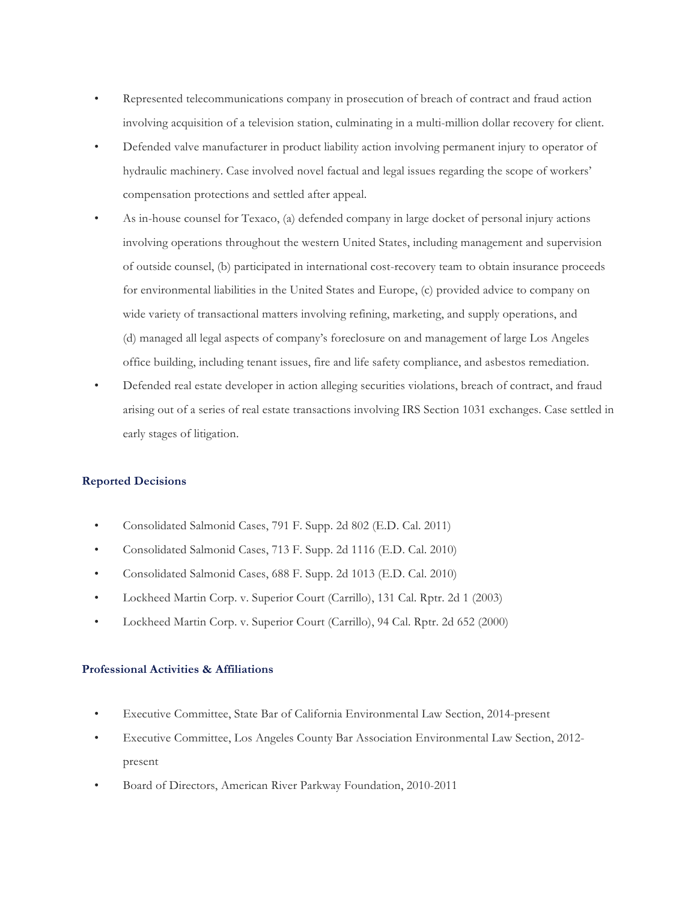- Represented telecommunications company in prosecution of breach of contract and fraud action involving acquisition of a television station, culminating in a multi-million dollar recovery for client.
- Defended valve manufacturer in product liability action involving permanent injury to operator of hydraulic machinery. Case involved novel factual and legal issues regarding the scope of workers' compensation protections and settled after appeal.
- As in-house counsel for Texaco, (a) defended company in large docket of personal injury actions involving operations throughout the western United States, including management and supervision of outside counsel, (b) participated in international cost-recovery team to obtain insurance proceeds for environmental liabilities in the United States and Europe, (c) provided advice to company on wide variety of transactional matters involving refining, marketing, and supply operations, and (d) managed all legal aspects of company's foreclosure on and management of large Los Angeles office building, including tenant issues, fire and life safety compliance, and asbestos remediation.
- Defended real estate developer in action alleging securities violations, breach of contract, and fraud arising out of a series of real estate transactions involving IRS Section 1031 exchanges. Case settled in early stages of litigation.

# **Reported Decisions**

- Consolidated Salmonid Cases, 791 F. Supp. 2d 802 (E.D. Cal. 2011)
- Consolidated Salmonid Cases, 713 F. Supp. 2d 1116 (E.D. Cal. 2010)
- Consolidated Salmonid Cases, 688 F. Supp. 2d 1013 (E.D. Cal. 2010)
- Lockheed Martin Corp. v. Superior Court (Carrillo), 131 Cal. Rptr. 2d 1 (2003)
- Lockheed Martin Corp. v. Superior Court (Carrillo), 94 Cal. Rptr. 2d 652 (2000)

# **Professional Activities & Affiliations**

- Executive Committee, State Bar of California Environmental Law Section, 2014-present
- Executive Committee, Los Angeles County Bar Association Environmental Law Section, 2012 present
- Board of Directors, American River Parkway Foundation, 2010-2011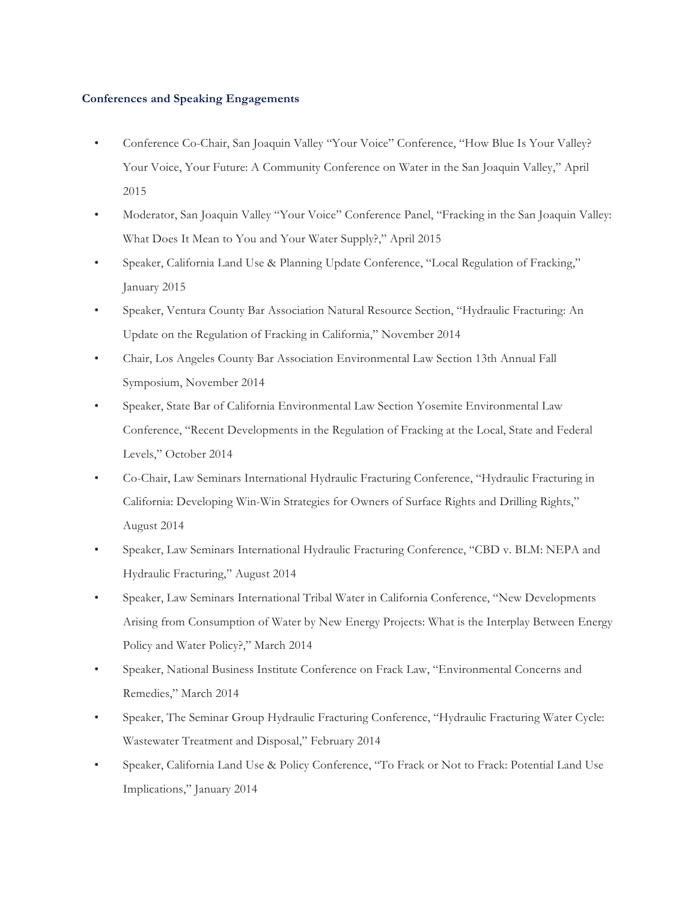#### **Conferences and Speaking Engagements**

- Conference Co-Chair, San Joaquin Valley "Your Voice" Conference, "How Blue Is Your Valley? Your Voice, Your Future: A Community Conference on Water in the San Joaquin Valley," April 2015
- Moderator, San Joaquin Valley "Your Voice" Conference Panel, "Fracking in the San Joaquin Valley: What Does It Mean to You and Your Water Supply?," April 2015
- Speaker, California Land Use & Planning Update Conference, "Local Regulation of Fracking," January 2015
- Speaker, Ventura County Bar Association Natural Resource Section, "Hydraulic Fracturing: An Update on the Regulation of Fracking in California," November 2014
- Chair, Los Angeles County Bar Association Environmental Law Section 13th Annual Fall Symposium, November 2014
- Speaker, State Bar of California Environmental Law Section Yosemite Environmental Law Conference, "Recent Developments in the Regulation of Fracking at the Local, State and Federal Levels," October 2014
- Co-Chair, Law Seminars International Hydraulic Fracturing Conference, "Hydraulic Fracturing in California: Developing Win-Win Strategies for Owners of Surface Rights and Drilling Rights," August 2014
- Speaker, Law Seminars International Hydraulic Fracturing Conference, "CBD v. BLM: NEPA and Hydraulic Fracturing," August 2014
- Speaker, Law Seminars International Tribal Water in California Conference, "New Developments Arising from Consumption of Water by New Energy Projects: What is the Interplay Between Energy Policy and Water Policy?," March 2014
- Speaker, National Business Institute Conference on Frack Law, "Environmental Concerns and Remedies," March 2014
- Speaker, The Seminar Group Hydraulic Fracturing Conference, "Hydraulic Fracturing Water Cycle: Wastewater Treatment and Disposal," February 2014
- Speaker, California Land Use & Policy Conference, "To Frack or Not to Frack: Potential Land Use Implications," January 2014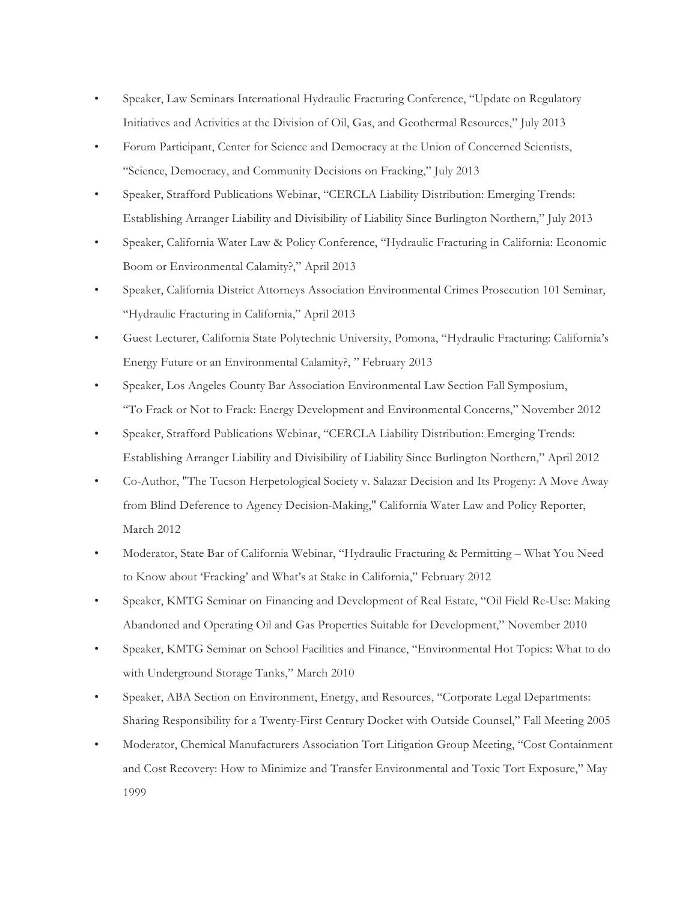- Speaker, Law Seminars International Hydraulic Fracturing Conference, "Update on Regulatory Initiatives and Activities at the Division of Oil, Gas, and Geothermal Resources," July 2013
- Forum Participant, Center for Science and Democracy at the Union of Concerned Scientists, "Science, Democracy, and Community Decisions on Fracking," July 2013
- Speaker, Strafford Publications Webinar, "CERCLA Liability Distribution: Emerging Trends: Establishing Arranger Liability and Divisibility of Liability Since Burlington Northern," July 2013
- Speaker, California Water Law & Policy Conference, "Hydraulic Fracturing in California: Economic Boom or Environmental Calamity?," April 2013
- Speaker, California District Attorneys Association Environmental Crimes Prosecution 101 Seminar, "Hydraulic Fracturing in California," April 2013
- Guest Lecturer, California State Polytechnic University, Pomona, "Hydraulic Fracturing: California's Energy Future or an Environmental Calamity?, " February 2013
- Speaker, Los Angeles County Bar Association Environmental Law Section Fall Symposium, "To Frack or Not to Frack: Energy Development and Environmental Concerns," November 2012
- Speaker, Strafford Publications Webinar, "CERCLA Liability Distribution: Emerging Trends: Establishing Arranger Liability and Divisibility of Liability Since Burlington Northern," April 2012
- Co-Author, "The Tucson Herpetological Society v. Salazar Decision and Its Progeny: A Move Away from Blind Deference to Agency Decision-Making," California Water Law and Policy Reporter, March 2012
- Moderator, State Bar of California Webinar, "Hydraulic Fracturing & Permitting What You Need to Know about 'Fracking' and What's at Stake in California," February 2012
- Speaker, KMTG Seminar on Financing and Development of Real Estate, "Oil Field Re-Use: Making Abandoned and Operating Oil and Gas Properties Suitable for Development," November 2010
- Speaker, KMTG Seminar on School Facilities and Finance, "Environmental Hot Topics: What to do with Underground Storage Tanks," March 2010
- Speaker, ABA Section on Environment, Energy, and Resources, "Corporate Legal Departments: Sharing Responsibility for a Twenty-First Century Docket with Outside Counsel," Fall Meeting 2005
- Moderator, Chemical Manufacturers Association Tort Litigation Group Meeting, "Cost Containment and Cost Recovery: How to Minimize and Transfer Environmental and Toxic Tort Exposure," May 1999